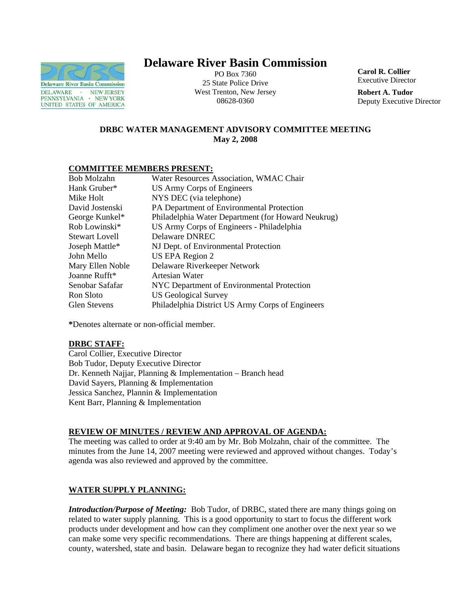

# **Delaware River Basin Commission**

PO Box 7360 25 State Police Drive West Trenton, New Jersey 08628-0360

**Carol R. Collier** Executive Director

**Robert A. Tudor**  Deputy Executive Director

# **DRBC WATER MANAGEMENT ADVISORY COMMITTEE MEETING May 2, 2008**

## **COMMITTEE MEMBERS PRESENT:**

| Bob Molzahn           | Water Resources Association, WMAC Chair            |
|-----------------------|----------------------------------------------------|
| Hank Gruber*          | US Army Corps of Engineers                         |
| Mike Holt             | NYS DEC (via telephone)                            |
| David Jostenski       | PA Department of Environmental Protection          |
| George Kunkel*        | Philadelphia Water Department (for Howard Neukrug) |
| Rob Lowinski*         | US Army Corps of Engineers - Philadelphia          |
| <b>Stewart Lovell</b> | Delaware DNREC                                     |
| Joseph Mattle*        | NJ Dept. of Environmental Protection               |
| John Mello            | US EPA Region 2                                    |
| Mary Ellen Noble      | Delaware Riverkeeper Network                       |
| Joanne Rufft*         | Artesian Water                                     |
| Senobar Safafar       | NYC Department of Environmental Protection         |
| Ron Sloto             | <b>US Geological Survey</b>                        |
| <b>Glen Stevens</b>   | Philadelphia District US Army Corps of Engineers   |

**\***Denotes alternate or non-official member.

# **DRBC STAFF:**

Carol Collier, Executive Director Bob Tudor, Deputy Executive Director Dr. Kenneth Najjar, Planning & Implementation – Branch head David Sayers, Planning & Implementation Jessica Sanchez, Plannin & Implementation Kent Barr, Planning & Implementation

# **REVIEW OF MINUTES / REVIEW AND APPROVAL OF AGENDA:**

The meeting was called to order at 9:40 am by Mr. Bob Molzahn, chair of the committee. The minutes from the June 14, 2007 meeting were reviewed and approved without changes. Today's agenda was also reviewed and approved by the committee.

# **WATER SUPPLY PLANNING:**

*Introduction/Purpose of Meeting:* Bob Tudor, of DRBC, stated there are many things going on related to water supply planning. This is a good opportunity to start to focus the different work products under development and how can they compliment one another over the next year so we can make some very specific recommendations. There are things happening at different scales, county, watershed, state and basin. Delaware began to recognize they had water deficit situations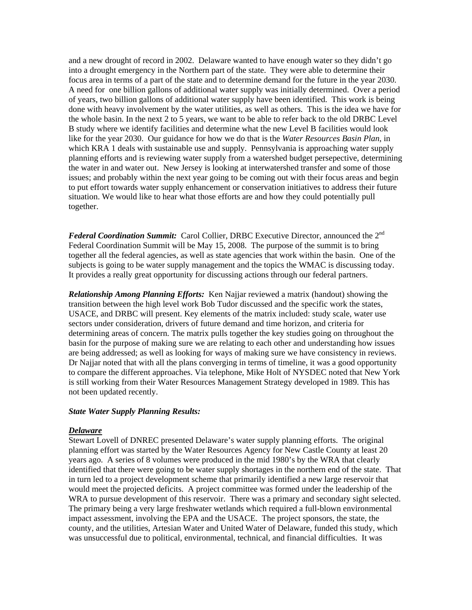and a new drought of record in 2002. Delaware wanted to have enough water so they didn't go into a drought emergency in the Northern part of the state. They were able to determine their focus area in terms of a part of the state and to determine demand for the future in the year 2030. A need for one billion gallons of additional water supply was initially determined. Over a period of years, two billion gallons of additional water supply have been identified. This work is being done with heavy involvement by the water utilities, as well as others. This is the idea we have for the whole basin. In the next 2 to 5 years, we want to be able to refer back to the old DRBC Level B study where we identify facilities and determine what the new Level B facilities would look like for the year 2030. Our guidance for how we do that is the *Water Resources Basin Plan*, in which KRA 1 deals with sustainable use and supply. Pennsylvania is approaching water supply planning efforts and is reviewing water supply from a watershed budget persepective, determining the water in and water out. New Jersey is looking at interwatershed transfer and some of those issues; and probably within the next year going to be coming out with their focus areas and begin to put effort towards water supply enhancement or conservation initiatives to address their future situation. We would like to hear what those efforts are and how they could potentially pull together.

*Federal Coordination Summit:* Carol Collier, DRBC Executive Director, announced the 2<sup>nd</sup> Federal Coordination Summit will be May 15, 2008. The purpose of the summit is to bring together all the federal agencies, as well as state agencies that work within the basin. One of the subjects is going to be water supply management and the topics the WMAC is discussing today. It provides a really great opportunity for discussing actions through our federal partners.

*Relationship Among Planning Efforts:* Ken Najjar reviewed a matrix (handout) showing the transition between the high level work Bob Tudor discussed and the specific work the states, USACE, and DRBC will present. Key elements of the matrix included: study scale, water use sectors under consideration, drivers of future demand and time horizon, and criteria for determining areas of concern. The matrix pulls together the key studies going on throughout the basin for the purpose of making sure we are relating to each other and understanding how issues are being addressed; as well as looking for ways of making sure we have consistency in reviews. Dr Najjar noted that with all the plans converging in terms of timeline, it was a good opportunity to compare the different approaches. Via telephone, Mike Holt of NYSDEC noted that New York is still working from their Water Resources Management Strategy developed in 1989. This has not been updated recently.

#### *State Water Supply Planning Results:*

#### *Delaware*

Stewart Lovell of DNREC presented Delaware's water supply planning efforts. The original planning effort was started by the Water Resources Agency for New Castle County at least 20 years ago. A series of 8 volumes were produced in the mid 1980's by the WRA that clearly identified that there were going to be water supply shortages in the northern end of the state. That in turn led to a project development scheme that primarily identified a new large reservoir that would meet the projected deficits. A project committee was formed under the leadership of the WRA to pursue development of this reservoir. There was a primary and secondary sight selected. The primary being a very large freshwater wetlands which required a full-blown environmental impact assessment, involving the EPA and the USACE. The project sponsors, the state, the county, and the utilities, Artesian Water and United Water of Delaware, funded this study, which was unsuccessful due to political, environmental, technical, and financial difficulties. It was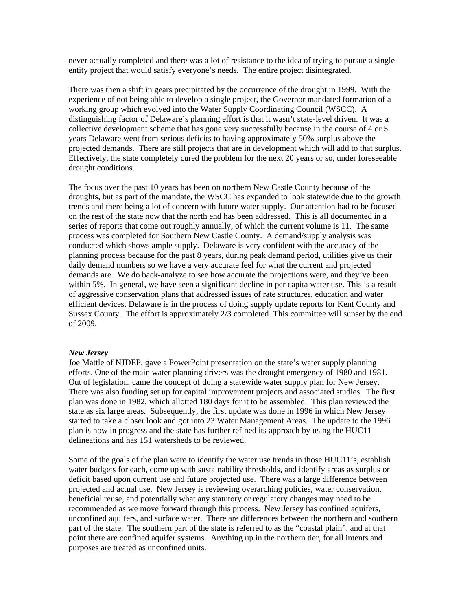never actually completed and there was a lot of resistance to the idea of trying to pursue a single entity project that would satisfy everyone's needs. The entire project disintegrated.

There was then a shift in gears precipitated by the occurrence of the drought in 1999. With the experience of not being able to develop a single project, the Governor mandated formation of a working group which evolved into the Water Supply Coordinating Council (WSCC). A distinguishing factor of Delaware's planning effort is that it wasn't state-level driven. It was a collective development scheme that has gone very successfully because in the course of 4 or 5 years Delaware went from serious deficits to having approximately 50% surplus above the projected demands. There are still projects that are in development which will add to that surplus. Effectively, the state completely cured the problem for the next 20 years or so, under foreseeable drought conditions.

The focus over the past 10 years has been on northern New Castle County because of the droughts, but as part of the mandate, the WSCC has expanded to look statewide due to the growth trends and there being a lot of concern with future water supply. Our attention had to be focused on the rest of the state now that the north end has been addressed. This is all documented in a series of reports that come out roughly annually, of which the current volume is 11. The same process was completed for Southern New Castle County. A demand/supply analysis was conducted which shows ample supply. Delaware is very confident with the accuracy of the planning process because for the past 8 years, during peak demand period, utilities give us their daily demand numbers so we have a very accurate feel for what the current and projected demands are. We do back-analyze to see how accurate the projections were, and they've been within 5%. In general, we have seen a significant decline in per capita water use. This is a result of aggressive conservation plans that addressed issues of rate structures, education and water efficient devices. Delaware is in the process of doing supply update reports for Kent County and Sussex County. The effort is approximately 2/3 completed. This committee will sunset by the end of 2009.

#### *New Jersey*

Joe Mattle of NJDEP, gave a PowerPoint presentation on the state's water supply planning efforts. One of the main water planning drivers was the drought emergency of 1980 and 1981. Out of legislation, came the concept of doing a statewide water supply plan for New Jersey. There was also funding set up for capital improvement projects and associated studies. The first plan was done in 1982, which allotted 180 days for it to be assembled. This plan reviewed the state as six large areas. Subsequently, the first update was done in 1996 in which New Jersey started to take a closer look and got into 23 Water Management Areas. The update to the 1996 plan is now in progress and the state has further refined its approach by using the HUC11 delineations and has 151 watersheds to be reviewed.

Some of the goals of the plan were to identify the water use trends in those HUC11's, establish water budgets for each, come up with sustainability thresholds, and identify areas as surplus or deficit based upon current use and future projected use. There was a large difference between projected and actual use. New Jersey is reviewing overarching policies, water conservation, beneficial reuse, and potentially what any statutory or regulatory changes may need to be recommended as we move forward through this process. New Jersey has confined aquifers, unconfined aquifers, and surface water. There are differences between the northern and southern part of the state. The southern part of the state is referred to as the "coastal plain", and at that point there are confined aquifer systems. Anything up in the northern tier, for all intents and purposes are treated as unconfined units.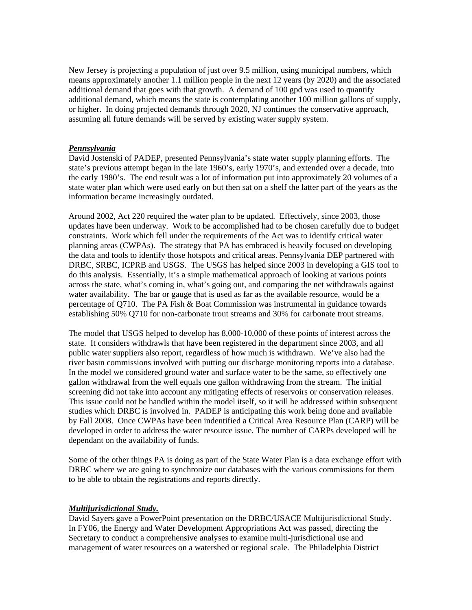New Jersey is projecting a population of just over 9.5 million, using municipal numbers, which means approximately another 1.1 million people in the next 12 years (by 2020) and the associated additional demand that goes with that growth. A demand of 100 gpd was used to quantify additional demand, which means the state is contemplating another 100 million gallons of supply, or higher. In doing projected demands through 2020, NJ continues the conservative approach, assuming all future demands will be served by existing water supply system.

## *Pennsylvania*

David Jostenski of PADEP, presented Pennsylvania's state water supply planning efforts. The state's previous attempt began in the late 1960's, early 1970's, and extended over a decade, into the early 1980's. The end result was a lot of information put into approximately 20 volumes of a state water plan which were used early on but then sat on a shelf the latter part of the years as the information became increasingly outdated.

Around 2002, Act 220 required the water plan to be updated. Effectively, since 2003, those updates have been underway. Work to be accomplished had to be chosen carefully due to budget constraints. Work which fell under the requirements of the Act was to identify critical water planning areas (CWPAs). The strategy that PA has embraced is heavily focused on developing the data and tools to identify those hotspots and critical areas. Pennsylvania DEP partnered with DRBC, SRBC, ICPRB and USGS. The USGS has helped since 2003 in developing a GIS tool to do this analysis. Essentially, it's a simple mathematical approach of looking at various points across the state, what's coming in, what's going out, and comparing the net withdrawals against water availability. The bar or gauge that is used as far as the available resource, would be a percentage of Q710. The PA Fish & Boat Commission was instrumental in guidance towards establishing 50% Q710 for non-carbonate trout streams and 30% for carbonate trout streams.

The model that USGS helped to develop has 8,000-10,000 of these points of interest across the state. It considers withdrawls that have been registered in the department since 2003, and all public water suppliers also report, regardless of how much is withdrawn. We've also had the river basin commissions involved with putting our discharge monitoring reports into a database. In the model we considered ground water and surface water to be the same, so effectively one gallon withdrawal from the well equals one gallon withdrawing from the stream. The initial screening did not take into account any mitigating effects of reservoirs or conservation releases. This issue could not be handled within the model itself, so it will be addressed within subsequent studies which DRBC is involved in. PADEP is anticipating this work being done and available by Fall 2008. Once CWPAs have been indentified a Critical Area Resource Plan (CARP) will be developed in order to address the water resource issue. The number of CARPs developed will be dependant on the availability of funds.

Some of the other things PA is doing as part of the State Water Plan is a data exchange effort with DRBC where we are going to synchronize our databases with the various commissions for them to be able to obtain the registrations and reports directly.

#### *Multijurisdictional Study.*

David Sayers gave a PowerPoint presentation on the DRBC/USACE Multijurisdictional Study. In FY06, the Energy and Water Development Appropriations Act was passed, directing the Secretary to conduct a comprehensive analyses to examine multi-jurisdictional use and management of water resources on a watershed or regional scale. The Philadelphia District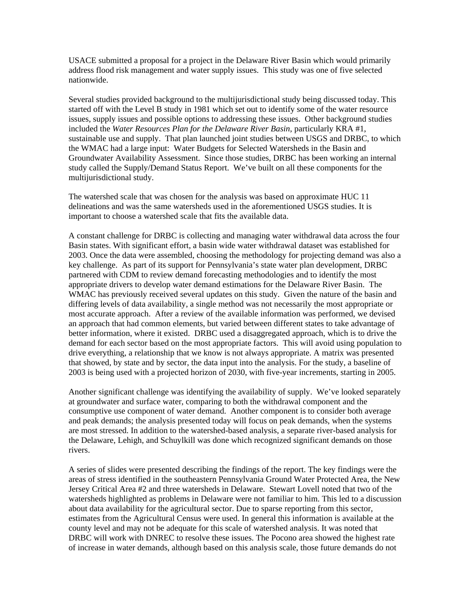USACE submitted a proposal for a project in the Delaware River Basin which would primarily address flood risk management and water supply issues. This study was one of five selected nationwide.

Several studies provided background to the multijurisdictional study being discussed today. This started off with the Level B study in 1981 which set out to identify some of the water resource issues, supply issues and possible options to addressing these issues. Other background studies included the *Water Resources Plan for the Delaware River Basin*, particularly KRA #1, sustainable use and supply. That plan launched joint studies between USGS and DRBC, to which the WMAC had a large input: Water Budgets for Selected Watersheds in the Basin and Groundwater Availability Assessment. Since those studies, DRBC has been working an internal study called the Supply/Demand Status Report. We've built on all these components for the multijurisdictional study.

The watershed scale that was chosen for the analysis was based on approximate HUC 11 delineations and was the same watersheds used in the aforementioned USGS studies. It is important to choose a watershed scale that fits the available data.

A constant challenge for DRBC is collecting and managing water withdrawal data across the four Basin states. With significant effort, a basin wide water withdrawal dataset was established for 2003. Once the data were assembled, choosing the methodology for projecting demand was also a key challenge. As part of its support for Pennsylvania's state water plan development, DRBC partnered with CDM to review demand forecasting methodologies and to identify the most appropriate drivers to develop water demand estimations for the Delaware River Basin. The WMAC has previously received several updates on this study. Given the nature of the basin and differing levels of data availability, a single method was not necessarily the most appropriate or most accurate approach. After a review of the available information was performed, we devised an approach that had common elements, but varied between different states to take advantage of better information, where it existed. DRBC used a disaggregated approach, which is to drive the demand for each sector based on the most appropriate factors. This will avoid using population to drive everything, a relationship that we know is not always appropriate. A matrix was presented that showed, by state and by sector, the data input into the analysis. For the study, a baseline of 2003 is being used with a projected horizon of 2030, with five-year increments, starting in 2005.

Another significant challenge was identifying the availability of supply. We've looked separately at groundwater and surface water, comparing to both the withdrawal component and the consumptive use component of water demand. Another component is to consider both average and peak demands; the analysis presented today will focus on peak demands, when the systems are most stressed. In addition to the watershed-based analysis, a separate river-based analysis for the Delaware, Lehigh, and Schuylkill was done which recognized significant demands on those rivers.

A series of slides were presented describing the findings of the report. The key findings were the areas of stress identified in the southeastern Pennsylvania Ground Water Protected Area, the New Jersey Critical Area #2 and three watersheds in Delaware. Stewart Lovell noted that two of the watersheds highlighted as problems in Delaware were not familiar to him. This led to a discussion about data availability for the agricultural sector. Due to sparse reporting from this sector, estimates from the Agricultural Census were used. In general this information is available at the county level and may not be adequate for this scale of watershed analysis. It was noted that DRBC will work with DNREC to resolve these issues. The Pocono area showed the highest rate of increase in water demands, although based on this analysis scale, those future demands do not